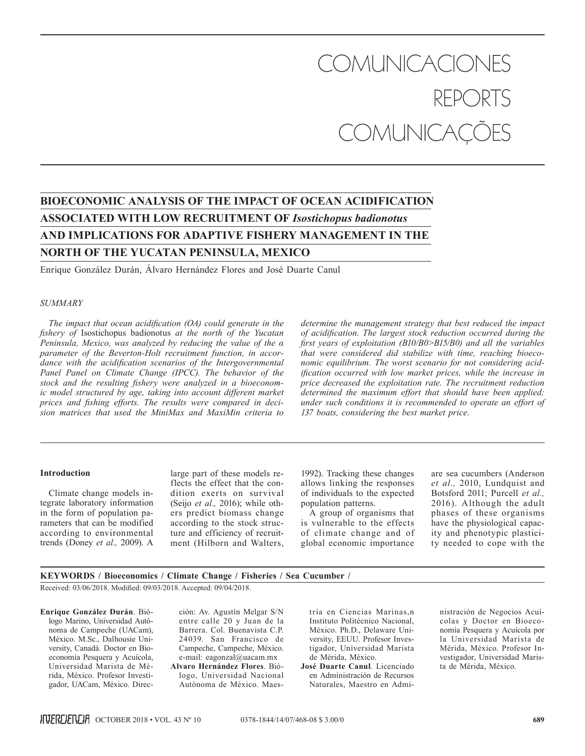# COMUNICACIONES COMUNICAÇÕES

# **BIOECONOMIC ANALYSIS OF THE IMPACT OF OCEAN ACIDIFICATION ASSOCIATED WITH LOW RECRUITMENT OF** *Isostichopus badionotus* **AND IMPLICATIONS FOR ADAPTIVE FISHERY MANAGEMENT IN THE NORTH OF THE YUCATAN PENINSULA, MEXICO**

Enrique González Durán, Álvaro Hernández Flores and José Duarte Canul

# *SUMMARY*

*The impact that ocean acidification (OA) could generate in the fishery of* Isostichopus badionotus *at the north of the Yucatan Peninsula, Mexico, was analyzed by reducing the value of the α parameter of the Beverton-Holt recruitment function, in accordance with the acidification scenarios of the Intergovernmental Panel Panel on Climate Change (IPCC). The behavior of the stock and the resulting fishery were analyzed in a bioeconomic model structured by age, taking into account different market prices and fishing efforts. The results were compared in decision matrices that used the MiniMax and MaxiMin criteria to* 

*determine the management strategy that best reduced the impact of acidification. The largest stock reduction occurred during the first years of exploitation (B10/B0>B15/B0) and all the variables that were considered did stabilize with time, reaching bioeconomic equilibrium. The worst scenario for not considering acidification occurred with low market prices, while the increase in price decreased the exploitation rate. The recruitment reduction determined the maximum effort that should have been applied; under such conditions it is recommended to operate an effort of 137 boats, considering the best market price.*

#### **Introduction**

Climate change models integrate laboratory information in the form of population parameters that can be modified according to environmental trends (Doney *et al.,* 2009). A

large part of these models reflects the effect that the condition exerts on survival (Seijo *et al.,* 2016); while others predict biomass change according to the stock structure and efficiency of recruitment (Hilborn and Walters,

1992). Tracking these changes allows linking the responses of individuals to the expected population patterns.

A group of organisms that is vulnerable to the effects of climate change and of global economic importance are sea cucumbers (Anderson *et al.,* 2010, Lundquist and Botsford 2011; Purcell *et al.,* 2016). Although the adult phases of these organisms have the physiological capacity and phenotypic plasticity needed to cope with the

# **KEYWORDS / Bioeconomics / Climate Change / Fisheries / Sea Cucumber /**

Received: 03/06/2018. Modified: 09/03/2018. Accepted: 09/04/2018.

**Enrique González Durán**. Biólogo Marino, Universidad Autónoma de Campeche (UACam), México. M.Sc., Dalhousie University, Canadá. Doctor en Bioeconomía Pesquera y Acuícola, Universidad Marista de Mérida, México. Profesor Investigador, UACam, México. Direc-

ción: Av. Agustín Melgar S/N entre calle 20 y Juan de la Barrera. Col. Buenavista C.P. 24039. San Francisco de Campeche, Campeche, México. e-mail: eagonzal@uacam.mx **Alvaro Hernández Flores**. Biólogo, Universidad Nacional

Autónoma de México. Maes-

tría en Ciencias Marinas,n Instituto Politécnico Nacional, México. Ph.D., Delaware University, EEUU. Profesor Investigador, Universidad Marista de Mérida, México.

**José Duarte Canul**. Licenciado en Administración de Recursos Naturales, Maestro en Administración de Negocios Acuícolas y Doctor en Bioeconomía Pesquera y Acuícola por la Universidad Marista de Mérida, México. Profesor Investigador, Universidad Marista de Mérida, México.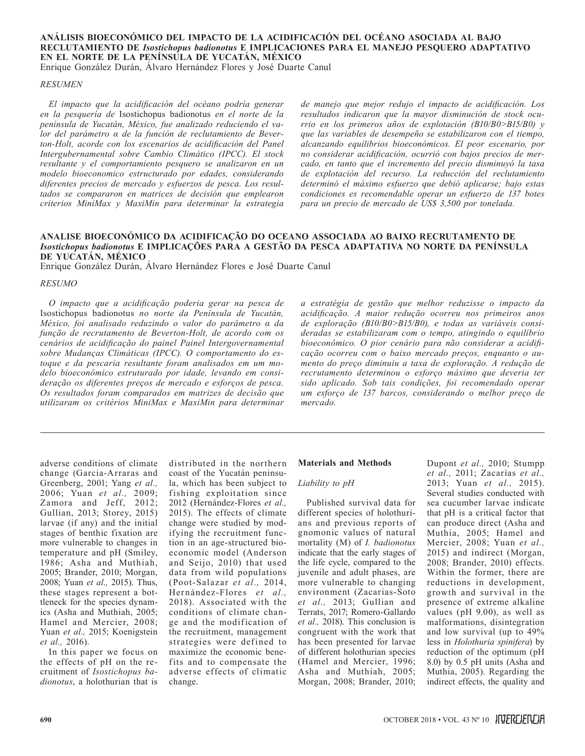# **ANÁLISIS BIOECONÓMICO DEL IMPACTO DE LA ACIDIFICACIÓN DEL OCÉANO ASOCIADA AL BAJO RECLUTAMIENTO DE** *Isostichopus badionotus* **E IMPLICACIONES PARA EL MANEJO PESQUERO ADAPTATIVO EN EL NORTE DE LA PENÍNSULA DE YUCATÁN, MÉXICO**

Enrique González Durán, Álvaro Hernández Flores y José Duarte Canul

# *RESUMEN*

*El impacto que la acidificación del océano podría generar en la pesquería de* Isostichopus badionotus *en el norte de la península de Yucatán, México, fue analizado reduciendo el valor del parámetro α de la función de reclutamiento de Beverton-Holt, acorde con los escenarios de acidificación del Panel Intergubernamental sobre Cambio Climático (IPCC). El stock resultante y el comportamiento pesquero se analizaron en un modelo bioeconomico estructurado por edades, considerando diferentes precios de mercado y esfuerzos de pesca. Los resultados se compararon en matrices de decisión que emplearon criterios MiniMax y MaxiMin para determinar la estrategia*  *de manejo que mejor redujo el impacto de acidificación. Los resultados indicaron que la mayor disminución de stock ocurrio en los primeros años de explotación (B10/B0>B15/B0) y que las variables de desempeño se estabilizaron con el tiempo, alcanzando equilibrios bioeconómicos. El peor escenario, por no considerar acidificación, ocurrió con bajos precios de mercado, en tanto que el incremento del precio disminuyó la tasa de explotación del recurso. La reducción del reclutamiento determinó el máximo esfuerzo que debió aplicarse; bajo estas condiciones es recomendable operar un esfuerzo de 137 botes para un precio de mercado de US\$ 3,500 por tonelada.*

# **ANALISE BIOECONÓMICO DA ACIDIFICAÇÃO DO OCEANO ASSOCIADA AO BAIXO RECRUTAMENTO DE**  *Isostichopus badionotus* **E IMPLICAÇÕES PARA A GESTÃO DA PESCA ADAPTATIVA NO NORTE DA PENÍNSULA DE YUCATÁN, MÉXICO**

Enrique González Durán, Álvaro Hernández Flores e José Duarte Canul

## *RESUMO*

*O impacto que a acidificação poderia gerar na pesca de*  Isostichopus badionotus *no norte da Península de Yucatán, México, foi analisado reduzindo o valor do parâmetro α da função de recrutamento de Beverton-Holt, de acordo com os cenários de acidificação do painel Painel Intergovernamental sobre Mudanças Climáticas (IPCC). O comportamento do estoque e da pescaria resultante foram analisados em um modelo bioeconômico estruturado por idade, levando em consideração os diferentes preços de mercado e esforços de pesca. Os resultados foram comparados em matrizes de decisão que utilizaram os critérios MiniMax e MaxiMin para determinar* 

*a estratégia de gestão que melhor reduzisse o impacto da acidificação. A maior redução ocorreu nos primeiros anos de exploração (B10/B0>B15/B0), e todas as variáveis consideradas se estabilizaram com o tempo, atingindo o equilíbrio bioeconômico. O pior cenário para não considerar a acidificação ocorreu com o baixo mercado preços, enquanto o aumento do preço diminuiu a taxa de exploração. A redução de recrutamento determinou o esforço máximo que deveria ter sido aplicado. Sob tais condições, foi recomendado operar um esforço de 137 barcos, considerando o melhor preço de mercado.*

adverse conditions of climate change (Garcia-Arraras and Greenberg, 2001; Yang *et al.,* 2006; Yuan *et al.,* 2009; Zamora and Jeff, 2012; Gullian, 2013; Storey, 2015) larvae (if any) and the initial stages of benthic fixation are more vulnerable to changes in temperature and pH (Smiley, 1986; Asha and Muthiah, 2005; Brander, 2010; Morgan, 2008; Yuan *et al.,* 2015). Thus, these stages represent a bottleneck for the species dynamics (Asha and Muthiah, 2005; Hamel and Mercier, 2008; Yuan *et al.,* 2015; Koenigstein *et al.,* 2016).

In this paper we focus on the effects of pH on the recruitment of *Isostichopus badionotus*, a holothurian that is distributed in the northern coast of the Yucatán peninsula, which has been subject to fishing exploitation since 2012 (Hernández-Flores *et al.,* 2015). The effects of climate change were studied by modifying the recruitment function in an age-structured bioeconomic model (Anderson and Seijo, 2010) that used data from wild populations (Poot-Salazar *et al.,* 2014, Hernández-Flores *et al.,*  2018). Associated with the conditions of climate change and the modification of the recruitment, management strategies were defined to maximize the economic benefits and to compensate the adverse effects of climatic change.

# **Materials and Methods**

#### *Liability to pH*

Published survival data for different species of holothurians and previous reports of gnomonic values of natural mortality (M) of *I. badionotus* indicate that the early stages of the life cycle, compared to the juvenile and adult phases, are more vulnerable to changing environment (Zacarias-Soto *et al.,* 2013; Gullian and Terrats, 2017; Romero-Gallardo *et al.,* 2018). This conclusion is congruent with the work that has been presented for larvae of different holothurian species (Hamel and Mercier, 1996; Asha and Muthiah, 2005; Morgan, 2008; Brander, 2010;

Dupont *et al.,* 2010; Stumpp *et al.,* 2011; Zacarías *et al.,* 2013; Yuan *et al.,* 2015). Several studies conducted with sea cucumber larvae indicate that pH is a critical factor that can produce direct (Asha and Muthia, 2005; Hamel and Mercier, 2008; Yuan *et al.,* 2015) and indirect (Morgan, 2008; Brander, 2010) effects. Within the former, there are reductions in development, growth and survival in the presence of extreme alkaline values (pH 9.00), as well as malformations, disintegration and low survival (up to 49% less in *Holothuria spinifera*) by reduction of the optimum (pH 8.0) by 0.5 pH units (Asha and Muthia, 2005). Regarding the indirect effects, the quality and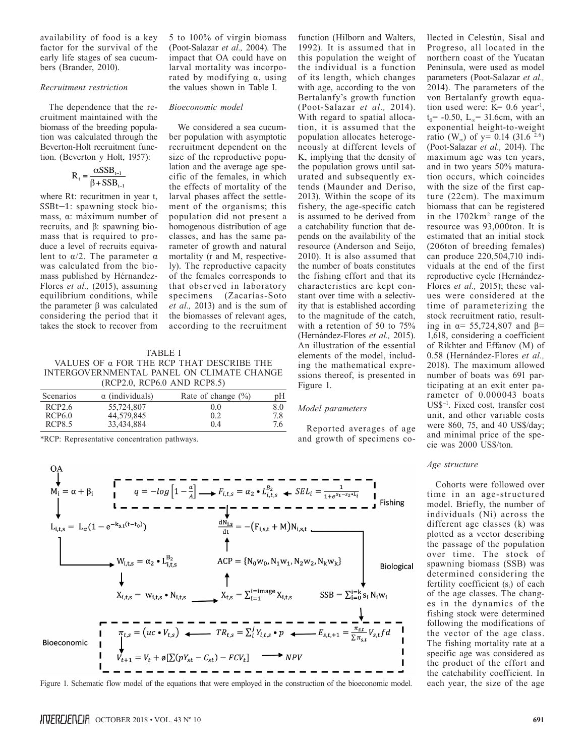availability of food is a key factor for the survival of the early life stages of sea cucumbers (Brander, 2010).

#### *Recruitment restriction*

The dependence that the recruitment maintained with the biomass of the breeding population was calculated through the Beverton-Holt recruitment function. (Beverton y Holt, 1957):

$$
R_{t} = \frac{\alpha SSB_{t-1}}{\beta + SSB_{t-1}}
$$

where Rt: recuritmen in year t, SSBt−1: spawning stock biomass, α: máximum number of recruits, and β: spawning biomass that is required to produce a level of recruits equivalent to  $\alpha/2$ . The parameter  $\alpha$ was calculated from the biomass published by Hérnandez-Flores *et al.,* (2015), assuming equilibrium conditions, while the parameter β was calculated considering the period that it takes the stock to recover from

5 to 100% of virgin biomass (Poot-Salazar *et al.,* 2004). The impact that OA could have on larval mortality was incorporated by modifying α, using the values shown in Table I.

# *Bioeconomic model*

We considered a sea cucumber population with asymptotic recruitment dependent on the size of the reproductive population and the average age specific of the females, in which the effects of mortality of the larval phases affect the settlement of the organisms; this population did not present a homogenous distribution of age classes, and has the same parameter of growth and natural mortality (r and M, respectively). The reproductive capacity of the females corresponds to that observed in laboratory specimens (Zacarías-Soto *et al.,* 2013) and is the sum of the biomasses of relevant ages, according to the recruitment

TABLE I VALUES OF α FOR THE RCP THAT DESCRIBE THE INTERGOVERNMENTAL PANEL ON CLIMATE CHANGE (RCP2.0, RCP6.0 AND RCP8.5)

| Scenarios     | $\alpha$ (individuals) | Rate of change $(\% )$ | pH  |
|---------------|------------------------|------------------------|-----|
| RCP2.6        | 55,724,807             | 0.0                    | 8.0 |
| RCP6.0        | 44.579.845             | 0.2                    | 7.8 |
| <b>RCP8.5</b> | 33.434.884             | 0.4                    | 7.6 |

\*RCP: Representative concentration pathways.

With regard to spatial allocation, it is assumed that the population allocates heterogeneously at different levels of K, implying that the density of the population grows until saturated and subsequently extends (Maunder and Deriso, 2013). Within the scope of its fishery, the age-specific catch is assumed to be derived from a catchability function that depends on the availability of the resource (Anderson and Seijo, 2010). It is also assumed that the number of boats constitutes the fishing effort and that its characteristics are kept constant over time with a selectivity that is established according to the magnitude of the catch, with a retention of 50 to 75% (Hernández-Flores *et al.,* 2015). An illustration of the essential elements of the model, including the mathematical expressions thereof, is presented in Figure 1.

function (Hilborn and Walters, 1992). It is assumed that in this population the weight of the individual is a function of its length, which changes with age, according to the von Bertalanfy's growth function (Poot-Salazar *et al.,* 2014).

# *Model parameters*

Reported averages of age and growth of specimens co-



Figure 1. Schematic flow model of the equations that were employed in the construction of the bioeconomic model. each year, the size of the age

llected in Celestún, Sisal and Progreso, all located in the northern coast of the Yucatan Peninsula, were used as model parameters (Poot-Salazar *et al.,*  2014). The parameters of the von Bertalanfy growth equation used were:  $K= 0.6$  year<sup>1</sup>,  $t_0$  = -0.50, L<sub>∞</sub>= 31.6cm, with an exponential height-to-weight ratio (W<sub>∞</sub>) of y= 0.14 (31.6<sup>2.6</sup>) (Poot-Salazar *et al.,* 2014). The maximum age was ten years, and in two years 50% maturation occurs, which coincides with the size of the first capture (22cm). The maximum biomass that can be registered in the 1702km2 range of the resource was 93,000ton. It is estimated that an initial stock (206ton of breeding females) can produce 220,504,710 individuals at the end of the first reproductive cycle (Hernández-Flores *et al.,* 2015); these values were considered at the time of parameterizing the stock recruitment ratio, resulting in  $\alpha$ = 55,724,807 and  $\beta$ = 1,618, considering a coefficient of Rikhter and Effanov (M) of 0.58 (Hernández-Flores *et al.,* 2018). The maximum allowed number of boats was 691 participating at an exit enter parameter of 0.000043 boats US\$–1. Fixed cost, transfer cost unit, and other variable costs were 860, 75, and 40 US\$/day; and minimal price of the specie was 2000 US\$/ton.

#### *Age structure*

Cohorts were followed over time in an age-structured model. Briefly, the number of individuals (Ni) across the different age classes (k) was plotted as a vector describing the passage of the population over time. The stock of spawning biomass (SSB) was determined considering the fertility coefficient  $(s_i)$  of each of the age classes. The changes in the dynamics of the fishing stock were determined following the modifications of the vector of the age class. The fishing mortality rate at a specific age was considered as the product of the effort and the catchability coefficient. In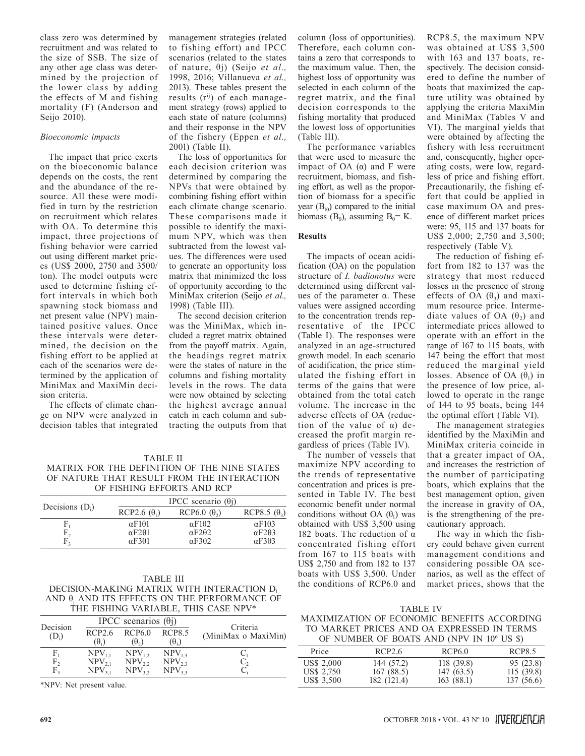class zero was determined by recruitment and was related to the size of SSB. The size of any other age class was determined by the projection of the lower class by adding the effects of M and fishing mortality (F) (Anderson and Seijo 2010).

# *Bioeconomic impacts*

The impact that price exerts on the bioeconomic balance depends on the costs, the rent and the abundance of the resource. All these were modified in turn by the restriction on recruitment which relates with OA. To determine this impact, three projections of fishing behavior were carried out using different market prices (US\$ 2000, 2750 and 3500/ ton). The model outputs were used to determine fishing effort intervals in which both spawning stock biomass and net present value (NPV) maintained positive values. Once these intervals were determined, the decision on the fishing effort to be applied at each of the scenarios were determined by the application of MiniMax and MaxiMin decision criteria.

The effects of climate change on NPV were analyzed in decision tables that integrated

# management strategies (related to fishing effort) and IPCC scenarios (related to the states of nature, θj) (Seijo *et al.,* 1998, 2016; Villanueva *et al.,* 2013). These tables present the results  $(r^{ij})$  of each management strategy (rows) applied to each state of nature (columns) and their response in the NPV of the fishery (Eppen *et al.,* 2001) (Table II).

The loss of opportunities for each decision criterion was determined by comparing the NPVs that were obtained by combining fishing effort within each climate change scenario. These comparisons made it possible to identify the maximum NPV, which was then subtracted from the lowest values. The differences were used to generate an opportunity loss matrix that minimized the loss of opportunity according to the MiniMax criterion (Seijo *et al.,* 1998) (Table III).

The second decision criterion was the MiniMax, which included a regret matrix obtained from the payoff matrix. Again, the headings regret matrix were the states of nature in the columns and fishing mortality levels in the rows. The data were now obtained by selecting the highest average annual catch in each column and subtracting the outputs from that

# TABLE II MATRIX FOR THE DEFINITION OF THE NINE STATES OF NATURE THAT RESULT FROM THE INTERACTION OF FISHING EFFORTS AND RCP

|                   | IPCC scenario $(\theta)$ |                        |                        |  |
|-------------------|--------------------------|------------------------|------------------------|--|
| Decisions $(D_i)$ | RCP2.6 $(\theta_1)$      | $RCP6.0$ $(\theta_2)$  | RCP8.5 $(\theta_2)$    |  |
| ŀ,                | $\alpha$ F101            | $\alpha$ F102          | $\alpha$ F103          |  |
| $\mathsf{r}_2$    | $\alpha$ F2 $\theta$ 1   | $\alpha$ F2 $\theta$ 2 | $\alpha$ F2 $\theta$ 3 |  |
|                   | $\alpha$ F301            | $\alpha$ F302          | $\alpha$ F3 $\theta$ 3 |  |

# TABLE III board with  $\frac{1}{2}$  or  $\frac{1}{2}$ ,  $\frac{1}{2}$ ,  $\frac{1}{2}$  the conditions of RCP6.0 and market prices, shows that the DECISION-MAKING MATRIX WITH INTERACTION D<sub>I</sub> AND  $\theta_j$  AND ITS EFFECTS ON THE PERFORMANCE OF THE FISHING VARIABLE, THIS CASE NPV\*

|                      |                                        | IPCC scenarios $(\theta$ <sup>j</sup> ) |                                     |                                 |  |
|----------------------|----------------------------------------|-----------------------------------------|-------------------------------------|---------------------------------|--|
| Decision<br>$(D_i)$  | RCP2.6<br>$(\theta_{1})$               | RCP6.0<br>$(\theta_{2})$                | <b>RCP8.5</b><br>$(\theta_{3})$     | Criteria<br>(MiniMax o MaxiMin) |  |
| F,<br>$F_2$<br>$F_3$ | $NPV_{11}$<br>NPV <sub>2</sub><br>NPV. | $NPV_{12}$<br>$NPV_{22}$<br>$NPV_{22}$  | $NPV_{13}$<br>$NPV_{22}$<br>$NPV$ , |                                 |  |

\*NPV: Net present value.

column (loss of opportunities). Therefore, each column contains a zero that corresponds to the maximum value. Then, the highest loss of opportunity was selected in each column of the regret matrix, and the final decision corresponds to the fishing mortality that produced the lowest loss of opportunities (Table III).

The performance variables that were used to measure the impact of OA  $(α)$  and F were recruitment, biomass, and fishing effort, as well as the proportion of biomass for a specific year  $(B_{10})$  compared to the initial biomass ( $B_0$ ), assuming  $B_0 = K$ .

# **Results**

The impacts of ocean acidification (OA) on the population structure of *I. badionotus* were determined using different values of the parameter α. These values were assigned according to the concentration trends representative of the IPCC (Table I). The responses were analyzed in an age-structured growth model. In each scenario of acidification, the price stimulated the fishing effort in terms of the gains that were obtained from the total catch volume. The increase in the adverse effects of OA (reduction of the value of  $α$ ) decreased the profit margin regardless of prices (Table IV).

The number of vessels that maximize NPV according to the trends of representative concentration and prices is presented in Table IV. The best economic benefit under normal conditions without OA  $(\theta_1)$  was obtained with US\$ 3,500 using 182 boats. The reduction of  $\alpha$ concentrated fishing effort from 167 to 115 boats with US\$ 2,750 and from 182 to 137 boats with US\$ 3,500. Under

RCP8.5, the maximum NPV was obtained at US\$ 3,500 with 163 and 137 boats, respectively. The decision considered to define the number of boats that maximized the capture utility was obtained by applying the criteria MaxiMin and MiniMax (Tables V and VI). The marginal yields that were obtained by affecting the fishery with less recruitment and, consequently, higher operating costs, were low, regardless of price and fishing effort. Precautionarily, the fishing effort that could be applied in case maximum OA and presence of different market prices were: 95, 115 and 137 boats for US\$ 2,000; 2,750 and 3,500; respectively (Table V).

The reduction of fishing effort from 182 to 137 was the strategy that most reduced losses in the presence of strong effects of OA  $(\theta_3)$  and maximum resource price. Intermediate values of OA  $(\theta_2)$  and intermediate prices allowed to operate with an effort in the range of 167 to 115 boats, with 147 being the effort that most reduced the marginal yield losses. Absence of OA  $(\theta_1)$  in the presence of low price, allowed to operate in the range of 144 to 95 boats, being 144 the optimal effort (Table VI).

The management strategies identified by the MaxiMin and MiniMax criteria coincide in that a greater impact of OA, and increases the restriction of the number of participating boats, which explains that the best management option, given the increase in gravity of OA, is the strengthening of the precautionary approach.

The way in which the fishery could behave given current management conditions and considering possible OA scenarios, as well as the effect of

TABLE IV MAXIMIZATION OF ECONOMIC BENEFITS ACCORDING

| TO MARKET PRICES AND OA EXPRESSED IN TERMS            |  |
|-------------------------------------------------------|--|
| OF NUMBER OF BOATS AND (NPV IN 10 <sup>6</sup> US \$) |  |

|                                        | $\frac{1}{2}$ . The state of Bottle in $\frac{1}{2}$ is the state of $\frac{1}{2}$ |                                      |                                     |
|----------------------------------------|------------------------------------------------------------------------------------|--------------------------------------|-------------------------------------|
| Price                                  | RCP2.6                                                                             | RCP6.0                               | RCP8.5                              |
| US\$ 2,000<br>US\$ 2,750<br>US\$ 3,500 | 144 (57.2)<br>167(88.5)<br>182 (121.4)                                             | 118 (39.8)<br>147(63.5)<br>163(88.1) | 95 (23.8)<br>115(39.8)<br>137(56.6) |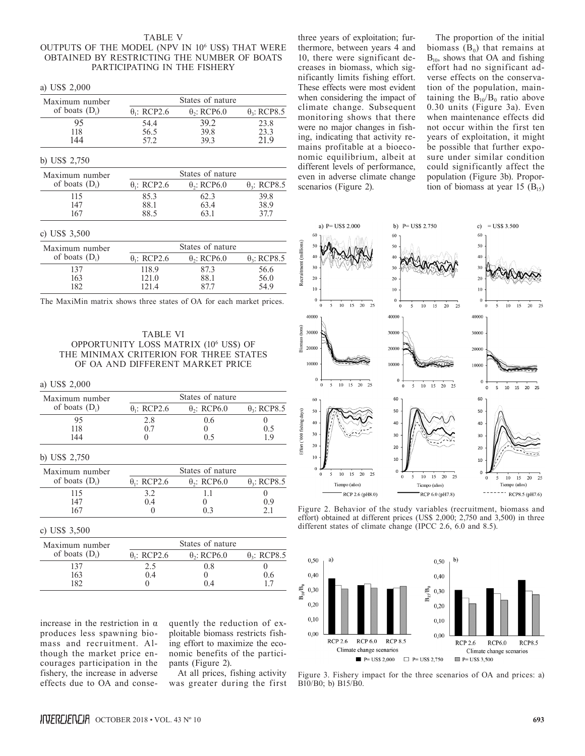# TABLE V OUTPUTS OF THE MODEL (NPV IN 106 US\$) THAT WERE OBTAINED BY RESTRICTING THE NUMBER OF BOATS PARTICIPATING IN THE FISHERY

| a) $USD \sim 2,000$ |                     |                                |                     |  |  |
|---------------------|---------------------|--------------------------------|---------------------|--|--|
| Maximum number      | States of nature    |                                |                     |  |  |
| of boats $(D_i)$    | $\theta_1$ : RCP2.6 | $\theta$ <sub>2</sub> : RCP6.0 | $\theta_3$ : RCP8.5 |  |  |
| 95                  | 54.4                | 39.2                           | 23.8                |  |  |
| 118                 | 56.5                | 39.8                           | 23.3                |  |  |
| 144                 | 57.2                | 39.3                           | 21.9                |  |  |
| b) US\$ $2,750$     |                     |                                |                     |  |  |
| Maximum number      |                     | States of nature               |                     |  |  |
| of boats $(D_i)$    | $\theta_1$ : RCP2.6 | $\theta$ <sub>2</sub> : RCP6.0 | $\theta_3$ : RCP8.5 |  |  |
| 115                 | 85.3                | 62.3                           | 39.8                |  |  |
| 147                 | 88.1                | 63.4                           | 38.9                |  |  |
| 167                 | 88.5                | 63.1                           | 37.7                |  |  |
| c) US\$ $3,500$     |                     |                                |                     |  |  |
| Maximum number      | States of nature    |                                |                     |  |  |
| of boats $(D_i)$    | $\theta_1$ : RCP2.6 | $\theta$ <sub>2</sub> : RCP6.0 | $\theta_3$ : RCP8.5 |  |  |
| 137                 | 118.9               | 87.3                           | 56.6                |  |  |
| 163                 | 121.0               | 88.1                           | 56.0                |  |  |
| 182                 | 121.4               | 87.7                           | 54.9                |  |  |

The MaxiMin matrix shows three states of OA for each market prices.

TABLE VI OPPORTUNITY LOSS MATRIX (106 US\$) OF THE MINIMAX CRITERION FOR THREE STATES OF OA AND DIFFERENT MARKET PRICE

# a) US\$ 2,000

 $\overline{1}$  US\$ 2,000

| Maximum number   | States of nature               |                                |                     |  |
|------------------|--------------------------------|--------------------------------|---------------------|--|
| of boats $(D_i)$ | $\theta$ <sub>1</sub> : RCP2.6 | $\theta$ <sub>2</sub> : RCP6.0 | $\theta_3$ : RCP8.5 |  |
| 95               | 2.8                            | 0.6                            |                     |  |
| 118              | 0.7                            |                                | 0.5                 |  |
| 144              |                                | 0.5                            | 1.9                 |  |
| b) US\$ 2,750    |                                |                                |                     |  |
| Maximum number   |                                | States of nature               |                     |  |
| of boats $(D_i)$ | $\theta_1$ : RCP2.6            | $\theta$ <sub>2</sub> : RCP6.0 | $\theta_3$ : RCP8.5 |  |
| 115              | 3.2                            |                                |                     |  |
| 147              | (14)                           |                                |                     |  |

c) US\$ 3,500

| Maximum number   | States of nature    |                     |                     |  |
|------------------|---------------------|---------------------|---------------------|--|
| of boats $(D_i)$ | $\theta_1$ : RCP2.6 | $\theta_2$ : RCP6.0 | $\theta_2$ : RCP8.5 |  |
| 137              | 2.5                 | 08                  |                     |  |
| 163              | (14)                |                     | ი ი                 |  |
| 182              |                     | 04                  |                     |  |

167 0 0.3 2.1

increase in the restriction in α produces less spawning biomass and recruitment. Although the market price encourages participation in the fishery, the increase in adverse effects due to OA and conse-

quently the reduction of exploitable biomass restricts fishing effort to maximize the economic benefits of the participants (Figure 2).

At all prices, fishing activity was greater during the first three years of exploitation; furthermore, between years 4 and 10, there were significant decreases in biomass, which significantly limits fishing effort. These effects were most evident when considering the impact of climate change. Subsequent monitoring shows that there were no major changes in fishing, indicating that activity remains profitable at a bioeconomic equilibrium, albeit at different levels of performance, even in adverse climate change scenarios (Figure 2).

The proportion of the initial biomass  $(B_0)$  that remains at  $B_{10}$ , shows that OA and fishing effort had no significant adverse effects on the conservation of the population, maintaining the  $B_{10}/B_0$  ratio above 0.30 units (Figure 3a). Even when maintenance effects did not occur within the first ten years of exploitation, it might be possible that further exposure under similar condition could significantly affect the population (Figure 3b). Proportion of biomass at year 15  $(B<sub>15</sub>)$ 



Figure 2. Behavior of the study variables (recruitment, biomass and effort) obtained at different prices (US\$ 2,000; 2,750 and 3,500) in three different states of climate change (IPCC 2.6, 6.0 and 8.5).



Figure 3. Fishery impact for the three scenarios of OA and prices: a) B10/B0; b) B15/B0.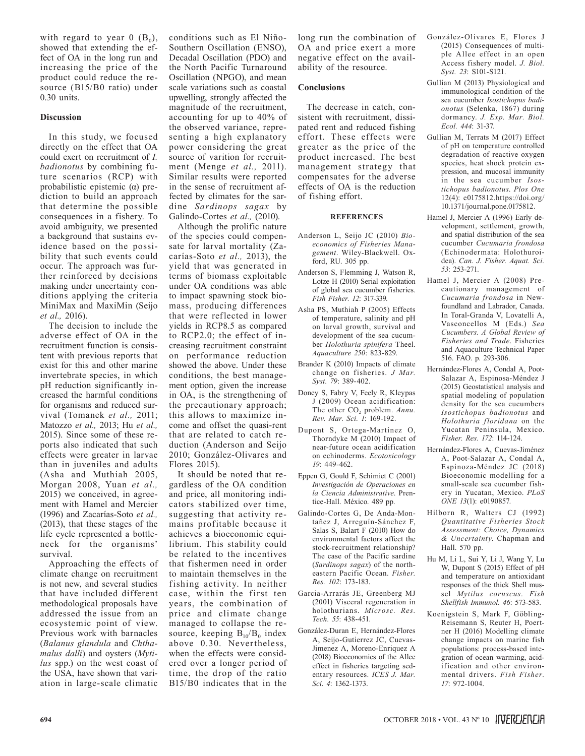with regard to year  $0$  ( $B_0$ ), showed that extending the effect of OA in the long run and increasing the price of the product could reduce the resource (B15/B0 ratio) under  $0.30$  units.

# **Discussion**

In this study, we focused directly on the effect that OA could exert on recruitment of *I. badionotus* by combining future scenarios (RCP) with probabilistic epistemic (α) prediction to build an approach that determine the possible consequences in a fishery. To avoid ambiguity, we presented a background that sustains evidence based on the possibility that such events could occur. The approach was further reinforced by decisions making under uncertainty conditions applying the criteria MiniMax and MaxiMin (Seijo *et al.,* 2016).

The decision to include the adverse effect of OA in the recruitment function is consistent with previous reports that exist for this and other marine invertebrate species, in which pH reduction significantly increased the harmful conditions for organisms and reduced survival (Tomanek *et al.,* 2011; Matozzo *et al.,* 2013; Hu *et al.,* 2015). Since some of these reports also indicated that such effects were greater in larvae than in juveniles and adults (Asha and Muthiah 2005, Morgan 2008, Yuan *et al.,* 2015) we conceived, in agreement with Hamel and Mercier (1996) and Zacarías-Soto *et al.,* (2013), that these stages of the life cycle represented a bottleneck for the organisms' survival.

Approaching the effects of climate change on recruitment is not new, and several studies that have included different methodological proposals have addressed the issue from an ecosystemic point of view. Previous work with barnacles (*Balanus glandula* and *Chthamalus dalli*) and oysters (*Mytilus* spp.) on the west coast of the USA, have shown that variation in large-scale climatic

conditions such as El Niño-Southern Oscillation (ENSO), Decadal Oscillation (PDO) and the North Pacific Turnaround Oscillation (NPGO), and mean scale variations such as coastal upwelling, strongly affected the magnitude of the recruitment, accounting for up to 40% of the observed variance, representing a high explanatory power considering the great source of varition for recruitment (Menge *et al.,* 2011). Similar results were reported in the sense of recruitment affected by climates for the sardine *Sardinops sagax* by Galindo-Cortes *et al.,* (2010).

Although the prolific nature of the species could compensate for larval mortality (Zacarías-Soto *et al.,* 2013), the yield that was generated in terms of biomass exploitable under OA conditions was able to impact spawning stock biomass, producing differences that were reflected in lower yields in RCP8.5 as compared to RCP2.0; the effect of increasing recruitment constraint on performance reduction showed the above. Under these conditions, the best management option, given the increase in OA, is the strengthening of the precautionary approach; this allows to maximize income and offset the quasi-rent that are related to catch reduction (Anderson and Seijo 2010; González-Olivares and Flores 2015).

It should be noted that regardless of the OA condition and price, all monitoring indicators stabilized over time, suggesting that activity remains profitable because it achieves a bioeconomic equilibrium. This stability could be related to the incentives that fishermen need in order to maintain themselves in the fishing activity. In neither case, within the first ten years, the combination of price and climate change managed to collapse the resource, keeping  $B_{10}/B_0$  index above 0.30. Nevertheless, when the effects were considered over a longer period of time, the drop of the ratio B15/B0 indicates that in the

long run the combination of OA and price exert a more negative effect on the availability of the resource.

# **Conclusions**

The decrease in catch, consistent with recruitment, dissipated rent and reduced fishing effort. These effects were greater as the price of the product increased. The best management strategy that compensates for the adverse effects of OA is the reduction of fishing effort.

#### **REFERENCES**

- Anderson L, Seijo JC (2010) *Bioeconomics of Fisheries Management*. Wiley-Blackwell. Oxford, RU. 305 pp.
- Anderson S, Flemming J, Watson R, Lotze H (2010) Serial exploitation of global sea cucumber fisheries. *Fish Fisher. 12*: 317-339.
- Asha PS, Muthiah P (2005) Effects of temperature, salinity and pH on larval growth, survival and development of the sea cucumber *Holothuria spinifera* Theel. *Aquaculture 250*: 823-829.
- Brander K (2010) Impacts of climate change on fisheries. *J Mar. Syst. 79*: 389-402.
- Doney S, Fabry V, Feely R, Kleypas J (2009) Ocean acidification: The other CO<sub>2</sub> problem. Annu. *Rev. Mar. Sci. 1*: 169-192.
- Dupont S, Ortega-Martínez O, Thorndyke M (2010) Impact of near-future ocean acidification on echinoderms. *Ecotoxicology 19*: 449-462.
- Eppen G, Gould F, Schimiet C (2001) *Investigación de Operaciones en la Ciencia Administrative*. Prentice-Hall. México. 489 pp.
- Galindo-Cortes G, De Anda-Montañez J, Arreguín-Sánchez F, Salas S, Balart F (2010) How do environmental factors affect the stock-recruitment relationship? The case of the Pacific sardine (*Sardinops sagax*) of the northeastern Pacific Ocean. *Fisher. Res. 102*: 173-183.
- Garcia-Arrarás JE, Greenberg MJ (2001) Visceral regeneration in holothurians. *Microsc. Res. Tech. 55*: 438-451.
- González-Duran E, Hernández-Flores A, Seijo-Gutierrez JC, Cuevas-Jimenez A, Moreno-Enriquez A (2018) Bioeconomics of the Allee effect in fisheries targeting sedentary resources. *ICES J. Mar. Sci. 4*: 1362-1373.
- González-Olivares E, Flores J (2015) Consequences of multiple Allee effect in an open Access fishery model. *J. Biol. Syst. 23*: S101-S121.
- Gullian M (2013) Physiological and immunological condition of the sea cucumber *Isostichopus badionotus* (Selenka, 1867) during dormancy. *J. Exp. Mar. Biol. Ecol. 444*: 31-37.
- Gullian M, Terrats M (2017) Effect of pH on temperature controlled degradation of reactive oxygen species, heat shock protein expression, and mucosal immunity in the sea cucumber *Isostichopus badionotus*. *Plos One* 12(4): e0175812.https://doi.org/ 10.1371/journal.pone.0175812.
- Hamel J, Mercier A (1996) Early development, settlement, growth, and spatial distribution of the sea cucumber *Cucumaria frondosa* (Echinodermata: Holothuroidea). *Can. J. Fisher. Aquat. Sci. 53*: 253-271.
- Hamel J, Mercier A (2008) Precautionary management of *Cucumaria frondosa* in Newfoundland and Labrador, Canada. In Toral-Granda V, Lovatelli A, Vasconcellos M (Eds.) *Sea Cucumbers. A Global Review of Fisheries and Trade*. Fisheries and Aquaculture Technical Paper 516. FAO. p. 293-306.
- Hernández-Flores A, Condal A, Poot-Salazar A, Espinosa-Méndez J (2015) Geostatistical analysis and spatial modeling of population density for the sea cucumbers *Isostichopus badionotus* and *Holothuria floridana* on the Yucatan Peninsula, Mexico. *Fisher. Res. 172*: 114-124.
- Hernández-Flores A, Cuevas-Jiménez A, Poot-Salazar A, Condal A, Espinoza-Méndez JC (2018) Bioeconomic modelling for a small-scale sea cucumber fishery in Yucatan, Mexico. *PLoS ONE 13*(1): e0190857.
- Hilborn R, Walters CJ (1992) *Quantitative Fisheries Stock Assessment: Choice, Dynamics & Uncertainty*. Chapman and Hall. 570 pp.
- Hu M, Li L, Sui Y, Li J, Wang Y, Lu W, Dupont S (2015) Effect of pH and temperature on antioxidant responses of the thick Shell mussel *Mytilus coruscus*. *Fish Shellfish Immunol. 46*: 573-583.
- Koenigstein S, Mark F, Göbling-Reisemann S, Reuter H, Poertner H (2016) Modelling climate change impacts on marine fish populations: process-based integration of ocean warming, acidification and other environmental drivers. *Fish Fisher. 17*: 972-1004.